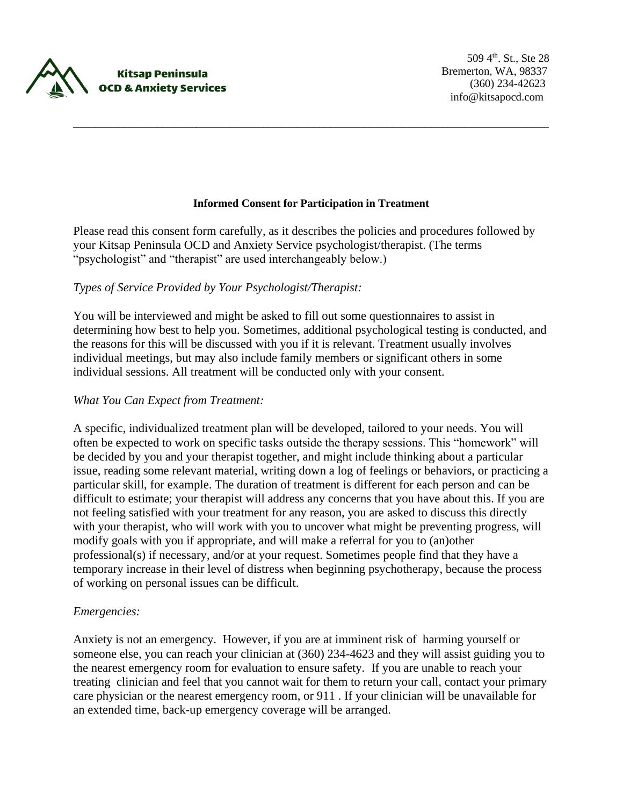

#### **Informed Consent for Participation in Treatment**

\_\_\_\_\_\_\_\_\_\_\_\_\_\_\_\_\_\_\_\_\_\_\_\_\_\_\_\_\_\_\_\_\_\_\_\_\_\_\_\_\_\_\_\_\_\_\_\_\_\_\_\_\_\_\_\_\_\_\_\_\_\_\_\_\_\_\_\_\_\_\_\_\_\_\_\_\_\_\_\_\_\_\_\_\_

Please read this consent form carefully, as it describes the policies and procedures followed by your Kitsap Peninsula OCD and Anxiety Service psychologist/therapist. (The terms "psychologist" and "therapist" are used interchangeably below.)

### *Types of Service Provided by Your Psychologist/Therapist:*

You will be interviewed and might be asked to fill out some questionnaires to assist in determining how best to help you. Sometimes, additional psychological testing is conducted, and the reasons for this will be discussed with you if it is relevant. Treatment usually involves individual meetings, but may also include family members or significant others in some individual sessions. All treatment will be conducted only with your consent.

### *What You Can Expect from Treatment:*

A specific, individualized treatment plan will be developed, tailored to your needs. You will often be expected to work on specific tasks outside the therapy sessions. This "homework" will be decided by you and your therapist together, and might include thinking about a particular issue, reading some relevant material, writing down a log of feelings or behaviors, or practicing a particular skill, for example. The duration of treatment is different for each person and can be difficult to estimate; your therapist will address any concerns that you have about this. If you are not feeling satisfied with your treatment for any reason, you are asked to discuss this directly with your therapist, who will work with you to uncover what might be preventing progress, will modify goals with you if appropriate, and will make a referral for you to (an)other professional(s) if necessary, and/or at your request. Sometimes people find that they have a temporary increase in their level of distress when beginning psychotherapy, because the process of working on personal issues can be difficult.

### *Emergencies:*

Anxiety is not an emergency. However, if you are at imminent risk of harming yourself or someone else, you can reach your clinician at (360) 234-4623 and they will assist guiding you to the nearest emergency room for evaluation to ensure safety. If you are unable to reach your treating clinician and feel that you cannot wait for them to return your call, contact your primary care physician or the nearest emergency room, or 911 . If your clinician will be unavailable for an extended time, back-up emergency coverage will be arranged.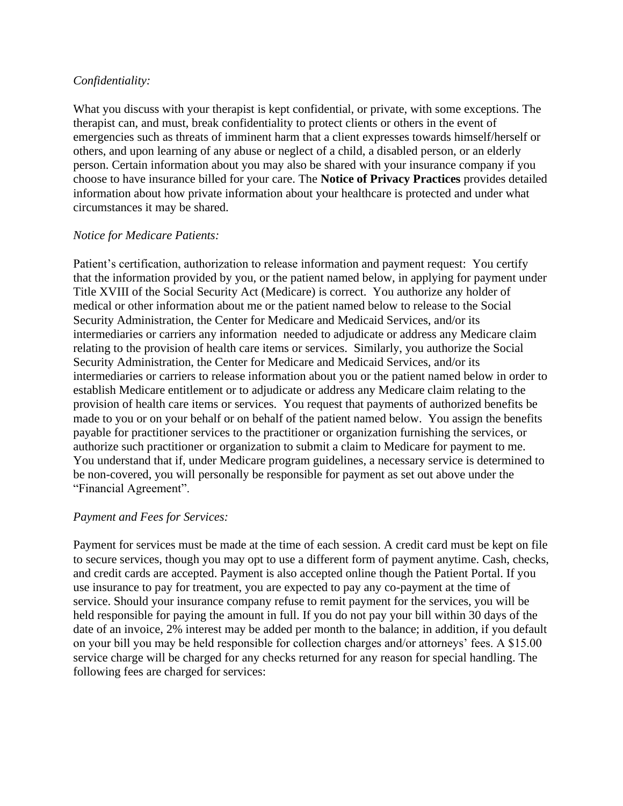# *Confidentiality:*

What you discuss with your therapist is kept confidential, or private, with some exceptions. The therapist can, and must, break confidentiality to protect clients or others in the event of emergencies such as threats of imminent harm that a client expresses towards himself/herself or others, and upon learning of any abuse or neglect of a child, a disabled person, or an elderly person. Certain information about you may also be shared with your insurance company if you choose to have insurance billed for your care. The **Notice of Privacy Practices** provides detailed information about how private information about your healthcare is protected and under what circumstances it may be shared.

# *Notice for Medicare Patients:*

Patient's certification, authorization to release information and payment request: You certify that the information provided by you, or the patient named below, in applying for payment under Title XVIII of the Social Security Act (Medicare) is correct. You authorize any holder of medical or other information about me or the patient named below to release to the Social Security Administration, the Center for Medicare and Medicaid Services, and/or its intermediaries or carriers any information needed to adjudicate or address any Medicare claim relating to the provision of health care items or services. Similarly, you authorize the Social Security Administration, the Center for Medicare and Medicaid Services, and/or its intermediaries or carriers to release information about you or the patient named below in order to establish Medicare entitlement or to adjudicate or address any Medicare claim relating to the provision of health care items or services. You request that payments of authorized benefits be made to you or on your behalf or on behalf of the patient named below. You assign the benefits payable for practitioner services to the practitioner or organization furnishing the services, or authorize such practitioner or organization to submit a claim to Medicare for payment to me. You understand that if, under Medicare program guidelines, a necessary service is determined to be non-covered, you will personally be responsible for payment as set out above under the "Financial Agreement".

## *Payment and Fees for Services:*

Payment for services must be made at the time of each session. A credit card must be kept on file to secure services, though you may opt to use a different form of payment anytime. Cash, checks, and credit cards are accepted. Payment is also accepted online though the Patient Portal. If you use insurance to pay for treatment, you are expected to pay any co-payment at the time of service. Should your insurance company refuse to remit payment for the services, you will be held responsible for paying the amount in full. If you do not pay your bill within 30 days of the date of an invoice, 2% interest may be added per month to the balance; in addition, if you default on your bill you may be held responsible for collection charges and/or attorneys' fees. A \$15.00 service charge will be charged for any checks returned for any reason for special handling. The following fees are charged for services: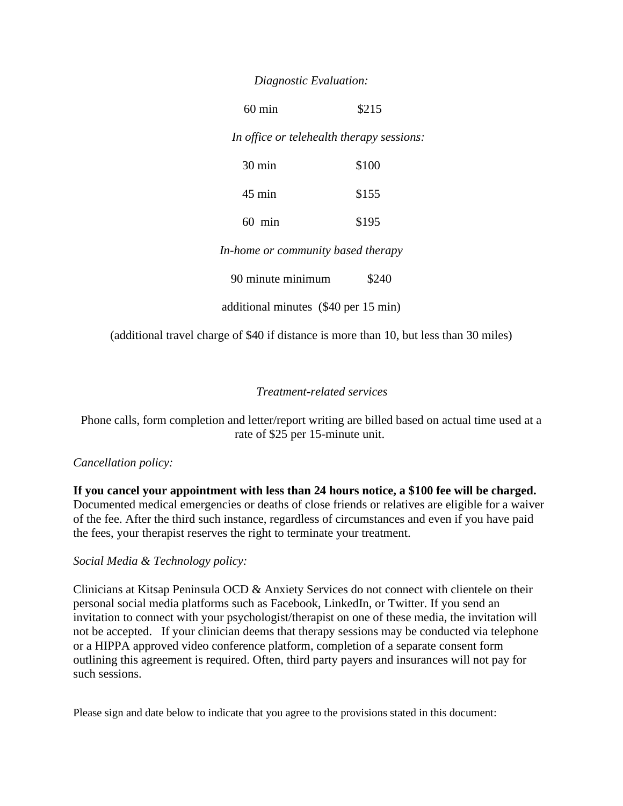### *Diagnostic Evaluation:*

60 min \$215

 *In office or telehealth therapy sessions:*

| $30 \text{ min}$ | \$100 |
|------------------|-------|
| $45 \text{ min}$ | \$155 |
| $60$ min         | \$195 |

*In-home or community based therapy*

90 minute minimum \$240

additional minutes (\$40 per 15 min)

(additional travel charge of \$40 if distance is more than 10, but less than 30 miles)

## *Treatment-related services*

Phone calls, form completion and letter/report writing are billed based on actual time used at a rate of \$25 per 15-minute unit.

## *Cancellation policy:*

**If you cancel your appointment with less than 24 hours notice, a \$100 fee will be charged.**  Documented medical emergencies or deaths of close friends or relatives are eligible for a waiver of the fee. After the third such instance, regardless of circumstances and even if you have paid the fees, your therapist reserves the right to terminate your treatment.

### *Social Media & Technology policy:*

Clinicians at Kitsap Peninsula OCD & Anxiety Services do not connect with clientele on their personal social media platforms such as Facebook, LinkedIn, or Twitter. If you send an invitation to connect with your psychologist/therapist on one of these media, the invitation will not be accepted. If your clinician deems that therapy sessions may be conducted via telephone or a HIPPA approved video conference platform, completion of a separate consent form outlining this agreement is required. Often, third party payers and insurances will not pay for such sessions.

Please sign and date below to indicate that you agree to the provisions stated in this document: